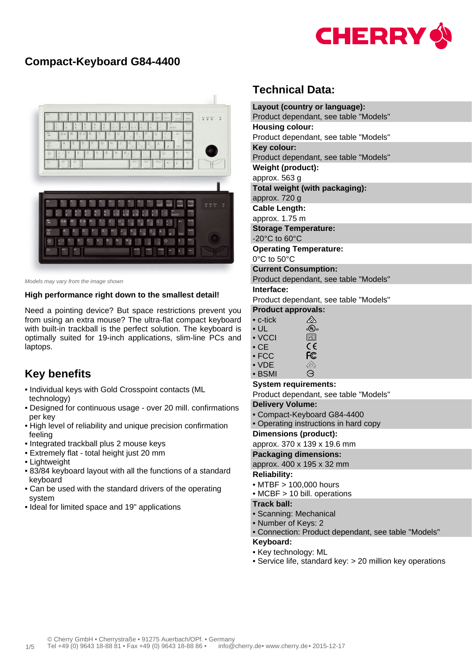

## **Compact-Keyboard G84-4400**



Models may vary from the image shown

#### **High performance right down to the smallest detail!**

Need a pointing device? But space restrictions prevent you from using an extra mouse? The ultra-flat compact keyboard with built-in trackball is the perfect solution. The keyboard is optimally suited for 19-inch applications, slim-line PCs and laptops.

### **Key benefits**

- Individual keys with Gold Crosspoint contacts (ML technology)
- Designed for continuous usage over 20 mill. confirmations per key
- High level of reliability and unique precision confirmation feeling
- Integrated trackball plus 2 mouse keys
- Extremely flat total height just 20 mm
- Lightweight
- 83/84 keyboard layout with all the functions of a standard keyboard
- Can be used with the standard drivers of the operating system
- Ideal for limited space and 19" applications

# **Technical Data:**

|                        | Layout (country or language):                                                                   |  |  |  |  |  |  |  |
|------------------------|-------------------------------------------------------------------------------------------------|--|--|--|--|--|--|--|
|                        | Product dependant, see table "Models"                                                           |  |  |  |  |  |  |  |
| <b>Housing colour:</b> |                                                                                                 |  |  |  |  |  |  |  |
|                        | Product dependant, see table "Models"                                                           |  |  |  |  |  |  |  |
|                        | Key colour:                                                                                     |  |  |  |  |  |  |  |
|                        | Product dependant, see table "Models"                                                           |  |  |  |  |  |  |  |
|                        | Weight (product):                                                                               |  |  |  |  |  |  |  |
|                        | approx. 563 g                                                                                   |  |  |  |  |  |  |  |
|                        | Total weight (with packaging):                                                                  |  |  |  |  |  |  |  |
|                        | approx. 720 g                                                                                   |  |  |  |  |  |  |  |
|                        | <b>Cable Length:</b>                                                                            |  |  |  |  |  |  |  |
|                        | approx. 1.75 m                                                                                  |  |  |  |  |  |  |  |
|                        | <b>Storage Temperature:</b>                                                                     |  |  |  |  |  |  |  |
|                        | -20°C to 60°C                                                                                   |  |  |  |  |  |  |  |
|                        | <b>Operating Temperature:</b>                                                                   |  |  |  |  |  |  |  |
|                        | $0^{\circ}$ C to 50 $^{\circ}$ C                                                                |  |  |  |  |  |  |  |
|                        | <b>Current Consumption:</b>                                                                     |  |  |  |  |  |  |  |
|                        | Product dependant, see table "Models"                                                           |  |  |  |  |  |  |  |
|                        | Interface:                                                                                      |  |  |  |  |  |  |  |
|                        | Product dependant, see table "Models"                                                           |  |  |  |  |  |  |  |
|                        | <b>Product approvals:</b><br><br>$\bullet$ c-tick                                               |  |  |  |  |  |  |  |
|                        | $c \bigcirc \overline{U}$ us<br>$\bullet$ UL                                                    |  |  |  |  |  |  |  |
|                        | V(<br>$\bullet$ VCCI                                                                            |  |  |  |  |  |  |  |
|                        | $\epsilon$<br>$\bullet$ CE                                                                      |  |  |  |  |  |  |  |
|                        | <b>FC</b><br>$\bullet$ FCC                                                                      |  |  |  |  |  |  |  |
|                        | $\overbrace{\phantom{\mathcal{L}(\mathcal{L})\oplus\mathcal{L}}_{\mathsf{E}}}$<br>$\bullet$ VDE |  |  |  |  |  |  |  |
|                        | Э<br>• BSMI                                                                                     |  |  |  |  |  |  |  |
|                        | <b>System requirements:</b>                                                                     |  |  |  |  |  |  |  |
|                        | Product dependant, see table "Models"                                                           |  |  |  |  |  |  |  |
|                        | <b>Delivery Volume:</b>                                                                         |  |  |  |  |  |  |  |
|                        | • Compact-Keyboard G84-4400                                                                     |  |  |  |  |  |  |  |
|                        | • Operating instructions in hard copy                                                           |  |  |  |  |  |  |  |
|                        | <b>Dimensions (product):</b>                                                                    |  |  |  |  |  |  |  |
|                        | approx. 370 x 139 x 19.6 mm                                                                     |  |  |  |  |  |  |  |
|                        | <b>Packaging dimensions:</b>                                                                    |  |  |  |  |  |  |  |
|                        | approx. 400 x 195 x 32 mm<br><b>Reliability:</b>                                                |  |  |  |  |  |  |  |
|                        | • MTBF > 100,000 hours                                                                          |  |  |  |  |  |  |  |
|                        | • MCBF > 10 bill. operations                                                                    |  |  |  |  |  |  |  |
|                        | <b>Track ball:</b>                                                                              |  |  |  |  |  |  |  |
|                        | • Scanning: Mechanical                                                                          |  |  |  |  |  |  |  |
|                        | • Number of Keys: 2                                                                             |  |  |  |  |  |  |  |
|                        | • Connection: Product dependant, see table "Models"                                             |  |  |  |  |  |  |  |
|                        | Keyboard:                                                                                       |  |  |  |  |  |  |  |
|                        | • Key technology: ML                                                                            |  |  |  |  |  |  |  |

• Service life, standard key: > 20 million key operations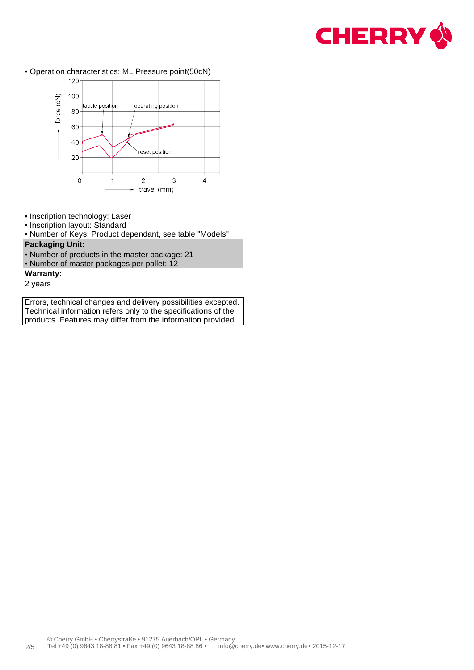

• Operation characteristics: ML Pressure point(50cN)



- Inscription technology: Laser
- Inscription layout: Standard
- Number of Keys: Product dependant, see table "Models" **Packaging Unit:**
- Number of products in the master package: 21
- Number of master packages per pallet: 12
- **Warranty:**
- 2 years

Errors, technical changes and delivery possibilities excepted. Technical information refers only to the specifications of the products. Features may differ from the information provided.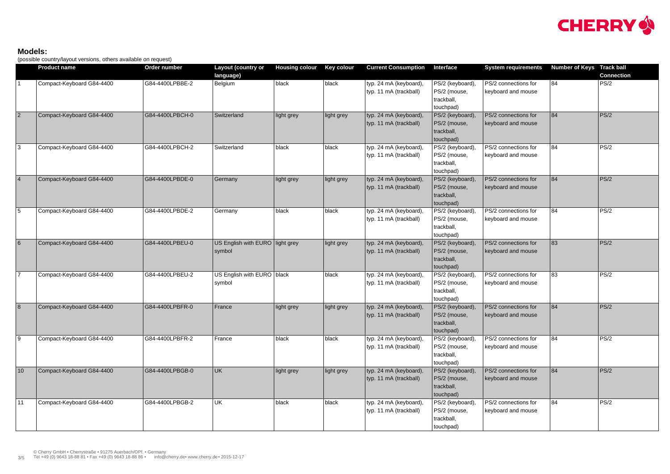#### **Models:**

(possible country/layout versions, others available on request)

|                 | <b>Product name</b>       | Order number    | Layout (country or                        | <b>Housing colour</b> | Key colour | <b>Current Consumption</b>                       | Interface                                                   | <b>System requirements</b>                 | <b>Number of Keys Track ball</b> |                   |
|-----------------|---------------------------|-----------------|-------------------------------------------|-----------------------|------------|--------------------------------------------------|-------------------------------------------------------------|--------------------------------------------|----------------------------------|-------------------|
|                 |                           |                 | language)                                 |                       |            |                                                  |                                                             |                                            |                                  | <b>Connection</b> |
|                 | Compact-Keyboard G84-4400 | G84-4400LPBBE-2 | Belgium                                   | black                 | $ $ black  | typ. 24 mA (keyboard),<br>typ. 11 mA (trackball) | PS/2 (keyboard),<br>PS/2 (mouse,<br>trackball,<br>touchpad) | PS/2 connections for<br>keyboard and mouse | 84                               | PS/2              |
| $\overline{2}$  | Compact-Keyboard G84-4400 | G84-4400LPBCH-0 | Switzerland                               | light grey            | light grey | typ. 24 mA (keyboard),<br>typ. 11 mA (trackball) | PS/2 (keyboard),<br>PS/2 (mouse,<br>trackball,<br>touchpad) | PS/2 connections for<br>keyboard and mouse | 84                               | PS/2              |
| 3               | Compact-Keyboard G84-4400 | G84-4400LPBCH-2 | Switzerland                               | black                 | black      | typ. 24 mA (keyboard),<br>typ. 11 mA (trackball) | PS/2 (keyboard),<br>PS/2 (mouse,<br>trackball,<br>touchpad) | PS/2 connections for<br>keyboard and mouse | 84                               | PS/2              |
| $\vert 4 \vert$ | Compact-Keyboard G84-4400 | G84-4400LPBDE-0 | Germany                                   | light grey            | light grey | typ. 24 mA (keyboard),<br>typ. 11 mA (trackball) | PS/2 (keyboard),<br>PS/2 (mouse,<br>trackball,<br>touchpad) | PS/2 connections for<br>keyboard and mouse | 84                               | PS/2              |
| $\overline{5}$  | Compact-Keyboard G84-4400 | G84-4400LPBDE-2 | Germany                                   | black                 | black      | typ. 24 mA (keyboard),<br>typ. 11 mA (trackball) | PS/2 (keyboard),<br>PS/2 (mouse,<br>trackball,<br>touchpad) | PS/2 connections for<br>keyboard and mouse | 84                               | PS/2              |
| $6\overline{6}$ | Compact-Keyboard G84-4400 | G84-4400LPBEU-0 | US English with EURO light grey<br>symbol |                       | light grey | typ. 24 mA (keyboard),<br>typ. 11 mA (trackball) | PS/2 (keyboard),<br>PS/2 (mouse,<br>trackball,<br>touchpad) | PS/2 connections for<br>keyboard and mouse | 83                               | PS/2              |
| $\overline{7}$  | Compact-Keyboard G84-4400 | G84-4400LPBEU-2 | US English with EURO black<br>symbol      |                       | black      | typ. 24 mA (keyboard),<br>typ. 11 mA (trackball) | PS/2 (keyboard),<br>PS/2 (mouse,<br>trackball,<br>touchpad) | PS/2 connections for<br>keyboard and mouse | 83                               | PS/2              |
| $\overline{8}$  | Compact-Keyboard G84-4400 | G84-4400LPBFR-0 | France                                    | light grey            | light grey | typ. 24 mA (keyboard),<br>typ. 11 mA (trackball) | PS/2 (keyboard),<br>PS/2 (mouse,<br>trackball,<br>touchpad) | PS/2 connections for<br>keyboard and mouse | 84                               | PS/2              |
| $\boxed{9}$     | Compact-Keyboard G84-4400 | G84-4400LPBFR-2 | France                                    | black                 | black      | typ. 24 mA (keyboard),<br>typ. 11 mA (trackball) | PS/2 (keyboard),<br>PS/2 (mouse,<br>trackball,<br>touchpad) | PS/2 connections for<br>keyboard and mouse | 84                               | PS/2              |
| 10              | Compact-Keyboard G84-4400 | G84-4400LPBGB-0 | UK                                        | light grey            | light grey | typ. 24 mA (keyboard),<br>typ. 11 mA (trackball) | PS/2 (keyboard),<br>PS/2 (mouse,<br>trackball,<br>touchpad) | PS/2 connections for<br>keyboard and mouse | 84                               | PS/2              |
| 11              | Compact-Keyboard G84-4400 | G84-4400LPBGB-2 | UK                                        | black                 | black      | typ. 24 mA (keyboard),<br>typ. 11 mA (trackball) | PS/2 (keyboard),<br>PS/2 (mouse,<br>trackball,<br>touchpad) | PS/2 connections for<br>keyboard and mouse | 84                               | PS/2              |

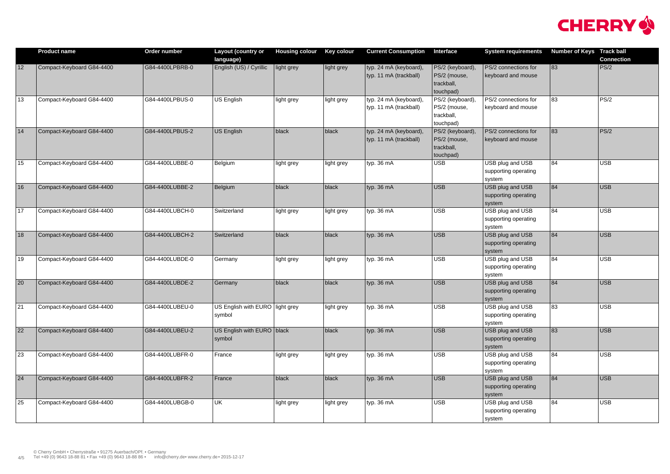|                 | <b>Product name</b>       | Order number    | Layout (country or                        | <b>Housing colour</b> | <b>Key colour</b> | <b>Current Consumption</b>                       | Interface                                                   | <b>System requirements</b>                         | Number of Keys Track ball | <b>Connection</b> |
|-----------------|---------------------------|-----------------|-------------------------------------------|-----------------------|-------------------|--------------------------------------------------|-------------------------------------------------------------|----------------------------------------------------|---------------------------|-------------------|
| 12              | Compact-Keyboard G84-4400 | G84-4400LPBRB-0 | language)<br>English (US) / Cyrillic      | light grey            | light grey        | typ. 24 mA (keyboard),<br>typ. 11 mA (trackball) | PS/2 (keyboard),<br>PS/2 (mouse,<br>trackball,<br>touchpad) | PS/2 connections for<br>keyboard and mouse         | 83                        | PS/2              |
| 13              | Compact-Keyboard G84-4400 | G84-4400LPBUS-0 | <b>US English</b>                         | light grey            | light grey        | typ. 24 mA (keyboard),<br>typ. 11 mA (trackball) | PS/2 (keyboard),<br>PS/2 (mouse,<br>trackball,<br>touchpad) | PS/2 connections for<br>keyboard and mouse         | 83                        | PS/2              |
| 14              | Compact-Keyboard G84-4400 | G84-4400LPBUS-2 | US English                                | black                 | black             | typ. 24 mA (keyboard),<br>typ. 11 mA (trackball) | PS/2 (keyboard),<br>PS/2 (mouse,<br>trackball,<br>touchpad) | PS/2 connections for<br>keyboard and mouse         | 83                        | PS/2              |
| 15              | Compact-Keyboard G84-4400 | G84-4400LUBBE-0 | Belgium                                   | light grey            | light grey        | typ. 36 mA                                       | <b>USB</b>                                                  | USB plug and USB<br>supporting operating<br>system | 84                        | USB               |
| 16              | Compact-Keyboard G84-4400 | G84-4400LUBBE-2 | Belgium                                   | black                 | black             | typ. 36 mA                                       | <b>USB</b>                                                  | USB plug and USB<br>supporting operating<br>system | 84                        | USB               |
| $\sqrt{17}$     | Compact-Keyboard G84-4400 | G84-4400LUBCH-0 | Switzerland                               | light grey            | light grey        | typ. 36 mA                                       | <b>USB</b>                                                  | USB plug and USB<br>supporting operating<br>system | 84                        | USB               |
| 18              | Compact-Keyboard G84-4400 | G84-4400LUBCH-2 | Switzerland                               | black                 | black             | typ. 36 mA                                       | <b>USB</b>                                                  | USB plug and USB<br>supporting operating<br>system | 84                        | USB               |
| $ 19\rangle$    | Compact-Keyboard G84-4400 | G84-4400LUBDE-0 | Germany                                   | light grey            | light grey        | typ. 36 mA                                       | <b>USB</b>                                                  | USB plug and USB<br>supporting operating<br>system | 84                        | USB               |
| $ 20\rangle$    | Compact-Keyboard G84-4400 | G84-4400LUBDE-2 | Germany                                   | black                 | black             | typ. 36 mA                                       | <b>USB</b>                                                  | USB plug and USB<br>supporting operating<br>system | 84                        | USB               |
| $\overline{21}$ | Compact-Keyboard G84-4400 | G84-4400LUBEU-0 | US English with EURO light grey<br>symbol |                       | light grey        | typ. 36 mA                                       | <b>USB</b>                                                  | USB plug and USB<br>supporting operating<br>system | 83                        | USB               |
| $\overline{22}$ | Compact-Keyboard G84-4400 | G84-4400LUBEU-2 | US English with EURO black<br>symbol      |                       | black             | typ. 36 mA                                       | <b>USB</b>                                                  | USB plug and USB<br>supporting operating<br>system | 83                        | USB               |
| 23              | Compact-Keyboard G84-4400 | G84-4400LUBFR-0 | France                                    | light grey            | light grey        | typ. 36 mA                                       | <b>USB</b>                                                  | USB plug and USB<br>supporting operating<br>system | 84                        | USB               |
| $\overline{24}$ | Compact-Keyboard G84-4400 | G84-4400LUBFR-2 | France                                    | $ $ black             | black             | typ. 36 mA                                       | USB                                                         | USB plug and USB<br>supporting operating<br>system | 84                        | USB               |
| 25              | Compact-Keyboard G84-4400 | G84-4400LUBGB-0 | UK                                        | light grey            | light grey        | typ. 36 mA                                       | <b>USB</b>                                                  | USB plug and USB<br>supporting operating<br>system | 84                        | USB               |